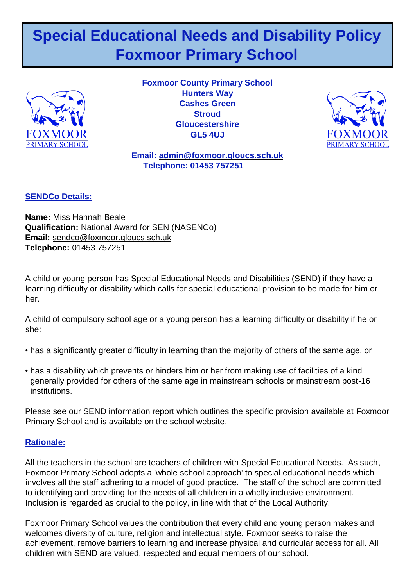# **Special Educational Needs and Disability Policy Foxmoor Primary School**



**Foxmoor County Primary School Hunters Way Cashes Green Stroud Gloucestershire GL5 4UJ**



**Email: admin@foxmoor.gloucs.sch.uk Telephone: 01453 757251**

**SENDCo Details:**

**Name:** Miss Hannah Beale **Qualification:** National Award for SEN (NASENCo) **Email:** sendco@foxmoor.gloucs.sch.uk **Telephone:** 01453 757251

A child or young person has Special Educational Needs and Disabilities (SEND) if they have a learning difficulty or disability which calls for special educational provision to be made for him or her.

A child of compulsory school age or a young person has a learning difficulty or disability if he or she:

- has a significantly greater difficulty in learning than the majority of others of the same age, or
- has a disability which prevents or hinders him or her from making use of facilities of a kind generally provided for others of the same age in mainstream schools or mainstream post-16 institutions.

Please see our SEND information report which outlines the specific provision available at Foxmoor Primary School and is available on the school website.

#### **Rationale:**

All the teachers in the school are teachers of children with Special Educational Needs. As such, Foxmoor Primary School adopts a 'whole school approach' to special educational needs which involves all the staff adhering to a model of good practice. The staff of the school are committed to identifying and providing for the needs of all children in a wholly inclusive environment. Inclusion is regarded as crucial to the policy, in line with that of the Local Authority.

Foxmoor Primary School values the contribution that every child and young person makes and welcomes diversity of culture, religion and intellectual style. Foxmoor seeks to raise the achievement, remove barriers to learning and increase physical and curricular access for all. All children with SEND are valued, respected and equal members of our school.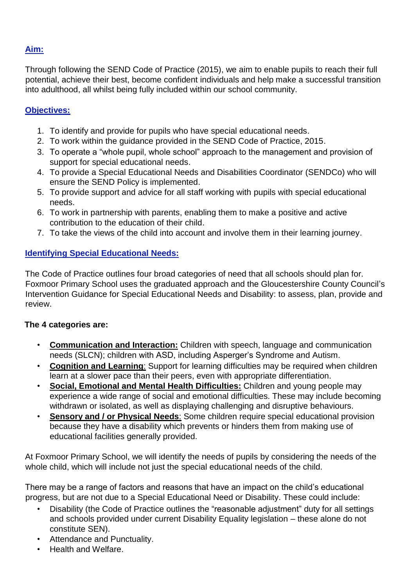# **Aim:**

Through following the SEND Code of Practice (2015), we aim to enable pupils to reach their full potential, achieve their best, become confident individuals and help make a successful transition into adulthood, all whilst being fully included within our school community.

# **Objectives:**

- 1. To identify and provide for pupils who have special educational needs.
- 2. To work within the guidance provided in the SEND Code of Practice, 2015.
- 3. To operate a "whole pupil, whole school" approach to the management and provision of support for special educational needs.
- 4. To provide a Special Educational Needs and Disabilities Coordinator (SENDCo) who will ensure the SEND Policy is implemented.
- 5. To provide support and advice for all staff working with pupils with special educational needs.
- 6. To work in partnership with parents, enabling them to make a positive and active contribution to the education of their child.
- 7. To take the views of the child into account and involve them in their learning journey.

## **Identifying Special Educational Needs:**

The Code of Practice outlines four broad categories of need that all schools should plan for. Foxmoor Primary School uses the graduated approach and the Gloucestershire County Council's Intervention Guidance for Special Educational Needs and Disability: to assess, plan, provide and review.

## **The 4 categories are:**

- **Communication and Interaction:** Children with speech, language and communication needs (SLCN); children with ASD, including Asperger's Syndrome and Autism.
- **Cognition and Learning**: Support for learning difficulties may be required when children learn at a slower pace than their peers, even with appropriate differentiation.
- **Social, Emotional and Mental Health Difficulties:** Children and young people may experience a wide range of social and emotional difficulties. These may include becoming withdrawn or isolated, as well as displaying challenging and disruptive behaviours.
- **Sensory and / or Physical Needs**: Some children require special educational provision because they have a disability which prevents or hinders them from making use of educational facilities generally provided.

At Foxmoor Primary School, we will identify the needs of pupils by considering the needs of the whole child, which will include not just the special educational needs of the child.

There may be a range of factors and reasons that have an impact on the child's educational progress, but are not due to a Special Educational Need or Disability. These could include:

- Disability (the Code of Practice outlines the "reasonable adjustment" duty for all settings and schools provided under current Disability Equality legislation – these alone do not constitute SEN).
- Attendance and Punctuality.
- Health and Welfare.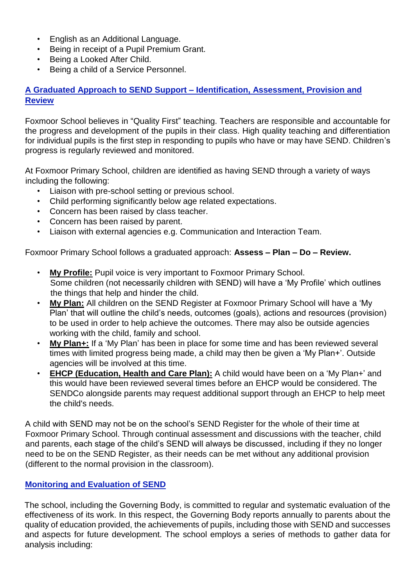- English as an Additional Language.
- Being in receipt of a Pupil Premium Grant.
- Being a Looked After Child.
- Being a child of a Service Personnel.

# **A Graduated Approach to SEND Support – Identification, Assessment, Provision and Review**

Foxmoor School believes in "Quality First" teaching. Teachers are responsible and accountable for the progress and development of the pupils in their class. High quality teaching and differentiation for individual pupils is the first step in responding to pupils who have or may have SEND. Children's progress is regularly reviewed and monitored.

At Foxmoor Primary School, children are identified as having SEND through a variety of ways including the following:

- Liaison with pre-school setting or previous school.
- Child performing significantly below age related expectations.
- Concern has been raised by class teacher.
- Concern has been raised by parent.
- Liaison with external agencies e.g. Communication and Interaction Team.

Foxmoor Primary School follows a graduated approach: **Assess – Plan – Do – Review.**

- **My Profile:** Pupil voice is very important to Foxmoor Primary School. Some children (not necessarily children with SEND) will have a 'My Profile' which outlines the things that help and hinder the child.
- **My Plan:** All children on the SEND Register at Foxmoor Primary School will have a 'My Plan' that will outline the child's needs, outcomes (goals), actions and resources (provision) to be used in order to help achieve the outcomes. There may also be outside agencies working with the child, family and school.
- **My Plan+:** If a 'My Plan' has been in place for some time and has been reviewed several times with limited progress being made, a child may then be given a 'My Plan+'. Outside agencies will be involved at this time.
- **EHCP (Education, Health and Care Plan):** A child would have been on a 'My Plan+' and this would have been reviewed several times before an EHCP would be considered. The SENDCo alongside parents may request additional support through an EHCP to help meet the child's needs.

A child with SEND may not be on the school's SEND Register for the whole of their time at Foxmoor Primary School. Through continual assessment and discussions with the teacher, child and parents, each stage of the child's SEND will always be discussed, including if they no longer need to be on the SEND Register, as their needs can be met without any additional provision (different to the normal provision in the classroom).

## **Monitoring and Evaluation of SEND**

The school, including the Governing Body, is committed to regular and systematic evaluation of the effectiveness of its work. In this respect, the Governing Body reports annually to parents about the quality of education provided, the achievements of pupils, including those with SEND and successes and aspects for future development. The school employs a series of methods to gather data for analysis including: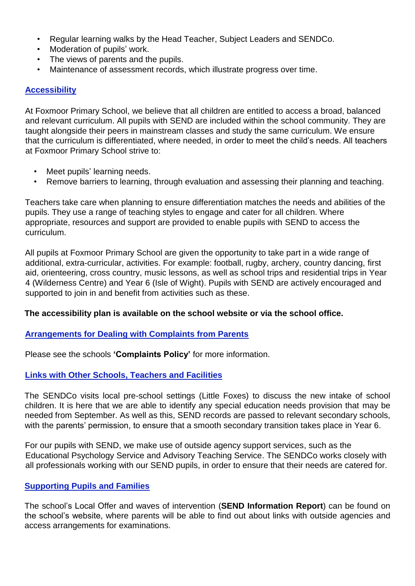- Regular learning walks by the Head Teacher, Subject Leaders and SENDCo.
- Moderation of pupils' work.
- The views of parents and the pupils.
- Maintenance of assessment records, which illustrate progress over time.

## **Accessibility**

At Foxmoor Primary School, we believe that all children are entitled to access a broad, balanced and relevant curriculum. All pupils with SEND are included within the school community. They are taught alongside their peers in mainstream classes and study the same curriculum. We ensure that the curriculum is differentiated, where needed, in order to meet the child's needs. All teachers at Foxmoor Primary School strive to:

- Meet pupils' learning needs.
- Remove barriers to learning, through evaluation and assessing their planning and teaching.

Teachers take care when planning to ensure differentiation matches the needs and abilities of the pupils. They use a range of teaching styles to engage and cater for all children. Where appropriate, resources and support are provided to enable pupils with SEND to access the curriculum.

All pupils at Foxmoor Primary School are given the opportunity to take part in a wide range of additional, extra-curricular, activities. For example: football, rugby, archery, country dancing, first aid, orienteering, cross country, music lessons, as well as school trips and residential trips in Year 4 (Wilderness Centre) and Year 6 (Isle of Wight). Pupils with SEND are actively encouraged and supported to join in and benefit from activities such as these.

#### **The accessibility plan is available on the school website or via the school office.**

#### **Arrangements for Dealing with Complaints from Parents**

Please see the schools **'Complaints Policy'** for more information.

## **Links with Other Schools, Teachers and Facilities**

The SENDCo visits local pre-school settings (Little Foxes) to discuss the new intake of school children. It is here that we are able to identify any special education needs provision that may be needed from September. As well as this, SEND records are passed to relevant secondary schools, with the parents' permission, to ensure that a smooth secondary transition takes place in Year 6.

For our pupils with SEND, we make use of outside agency support services, such as the Educational Psychology Service and Advisory Teaching Service. The SENDCo works closely with all professionals working with our SEND pupils, in order to ensure that their needs are catered for.

## **Supporting Pupils and Families**

The school's Local Offer and waves of intervention (**SEND Information Report**) can be found on the school's website[,](http://www.stroudvalleyschool.co.uk/info.php) where parents will be able to find out about links with outside agencies and access arrangements for examinations.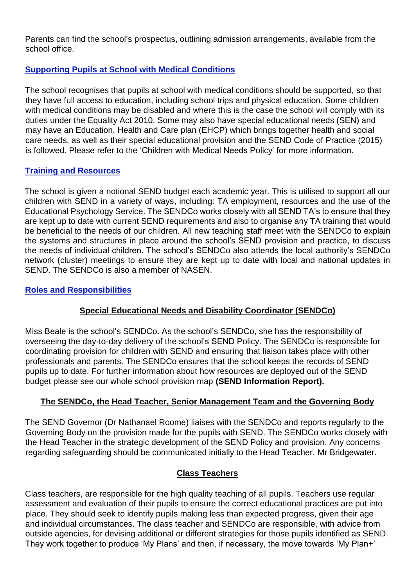Parents can find the school's prospectus, outlining admission arrangements, available from the school office.

# **Supporting Pupils at School with Medical Conditions**

The school recognises that pupils at school with medical conditions should be supported, so that they have full access to education, including school trips and physical education. Some children with medical conditions may be disabled and where this is the case the school will comply with its duties under the Equality Act 2010. Some may also have special educational needs (SEN) and may have an Education, Health and Care plan (EHCP) which brings together health and social care needs, as well as their special educational provision and the SEND Code of Practice (2015) is followed. Please refer to the 'Children with Medical Needs Policy' for more information.

## **Training and Resources**

The school is given a notional SEND budget each academic year. This is utilised to support all our children with SEND in a variety of ways, including: TA employment, resources and the use of the Educational Psychology Service. The SENDCo works closely with all SEND TA's to ensure that they are kept up to date with current SEND requirements and also to organise any TA training that would be beneficial to the needs of our children. All new teaching staff meet with the SENDCo to explain the systems and structures in place around the school's SEND provision and practice, to discuss the needs of individual children. The school's SENDCo also attends the local authority's SENDCo network (cluster) meetings to ensure they are kept up to date with local and national updates in SEND. The SENDCo is also a member of NASEN.

## **Roles and Responsibilities**

## **Special Educational Needs and Disability Coordinator (SENDCo)**

Miss Beale is the school's SENDCo. As the school's SENDCo, she has the responsibility of overseeing the day-to-day delivery of the school's SEND Policy. The SENDCo is responsible for coordinating provision for children with SEND and ensuring that liaison takes place with other professionals and parents. The SENDCo ensures that the school keeps the records of SEND pupils up to date. For further information about how resources are deployed out of the SEND budget please see our whole school provision map **(SEND Information Report).**

## **The SENDCo, the Head Teacher, Senior Management Team and the Governing Body**

The SEND Governor (Dr Nathanael Roome) liaises with the SENDCo and reports regularly to the Governing Body on the provision made for the pupils with SEND. The SENDCo works closely with the Head Teacher in the strategic development of the SEND Policy and provision. Any concerns regarding safeguarding should be communicated initially to the Head Teacher, Mr Bridgewater.

## **Class Teachers**

Class teachers, are responsible for the high quality teaching of all pupils. Teachers use regular assessment and evaluation of their pupils to ensure the correct educational practices are put into place. They should seek to identify pupils making less than expected progress, given their age and individual circumstances. The class teacher and SENDCo are responsible, with advice from outside agencies, for devising additional or different strategies for those pupils identified as SEND. They work together to produce 'My Plans' and then, if necessary, the move towards 'My Plan+'